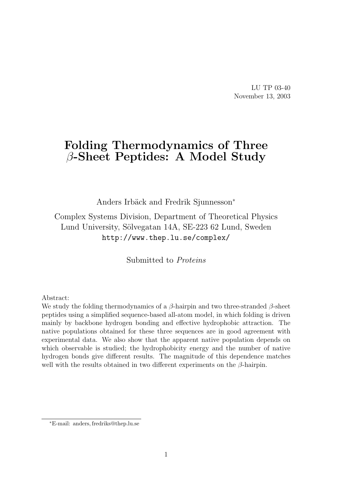LU TP 03-40 November 13, 2003

# Folding Thermodynamics of Three  $\beta$ -Sheet Peptides: A Model Study

Anders Irbäck and Fredrik Sjunnesson<sup>\*</sup>

Complex Systems Division, Department of Theoretical Physics Lund University, Sölvegatan 14A, SE-223 62 Lund, Sweden http://www.thep.lu.se/complex/

Submitted to Proteins

Abstract:

We study the folding thermodynamics of a  $\beta$ -hairpin and two three-stranded  $\beta$ -sheet peptides using a simplified sequence-based all-atom model, in which folding is driven mainly by backbone hydrogen bonding and effective hydrophobic attraction. The native populations obtained for these three sequences are in good agreement with experimental data. We also show that the apparent native population depends on which observable is studied; the hydrophobicity energy and the number of native hydrogen bonds give different results. The magnitude of this dependence matches well with the results obtained in two different experiments on the  $\beta$ -hairpin.

<sup>∗</sup>E-mail: anders, fredriks@thep.lu.se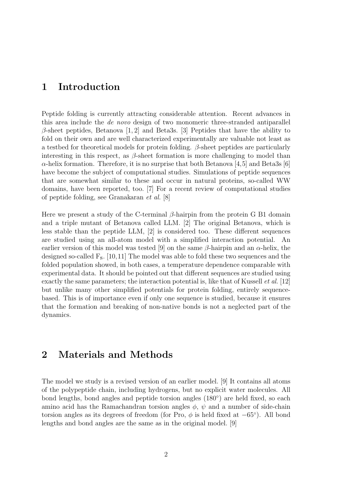## 1 Introduction

Peptide folding is currently attracting considerable attention. Recent advances in this area include the de novo design of two monomeric three-stranded antiparallel  $\beta$ -sheet peptides, Betanova [1, 2] and Beta3s. [3] Peptides that have the ability to fold on their own and are well characterized experimentally are valuable not least as a testbed for theoretical models for protein folding.  $\beta$ -sheet peptides are particularly interesting in this respect, as  $\beta$ -sheet formation is more challenging to model than  $\alpha$ -helix formation. Therefore, it is no surprise that both Betanova [4,5] and Beta3s [6] have become the subject of computational studies. Simulations of peptide sequences that are somewhat similar to these and occur in natural proteins, so-called WW domains, have been reported, too. [7] For a recent review of computational studies of peptide folding, see Granakaran et al. [8]

Here we present a study of the C-terminal  $\beta$ -hairpin from the protein G B1 domain and a triple mutant of Betanova called LLM. [2] The original Betanova, which is less stable than the peptide LLM, [2] is considered too. These different sequences are studied using an all-atom model with a simplified interaction potential. An earlier version of this model was tested [9] on the same  $\beta$ -hairpin and an  $\alpha$ -helix, the designed so-called Fs. [10,11] The model was able to fold these two sequences and the folded population showed, in both cases, a temperature dependence comparable with experimental data. It should be pointed out that different sequences are studied using exactly the same parameters; the interaction potential is, like that of Kussell *et al.* [12] but unlike many other simplified potentials for protein folding, entirely sequencebased. This is of importance even if only one sequence is studied, because it ensures that the formation and breaking of non-native bonds is not a neglected part of the dynamics.

## 2 Materials and Methods

The model we study is a revised version of an earlier model. [9] It contains all atoms of the polypeptide chain, including hydrogens, but no explicit water molecules. All bond lengths, bond angles and peptide torsion angles (180◦ ) are held fixed, so each amino acid has the Ramachandran torsion angles  $\phi$ ,  $\psi$  and a number of side-chain torsion angles as its degrees of freedom (for Pro,  $\phi$  is held fixed at  $-65^{\circ}$ ). All bond lengths and bond angles are the same as in the original model. [9]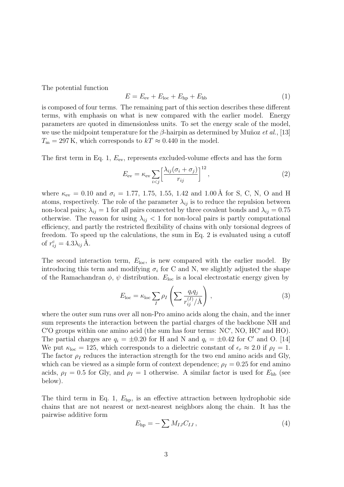The potential function

$$
E = E_{\text{ev}} + E_{\text{loc}} + E_{\text{hp}} + E_{\text{hb}}
$$
\n
$$
\tag{1}
$$

is composed of four terms. The remaining part of this section describes these different terms, with emphasis on what is new compared with the earlier model. Energy parameters are quoted in dimensionless units. To set the energy scale of the model, we use the midpoint temperature for the  $\beta$ -hairpin as determined by Muñoz *et al.*, [13]  $T_{\rm m} = 297$  K, which corresponds to  $kT \approx 0.440$  in the model.

The first term in Eq. 1,  $E_{\text{ev}}$ , represents excluded-volume effects and has the form

$$
E_{\rm ev} = \kappa_{\rm ev} \sum_{i < j} \left[ \frac{\lambda_{ij} (\sigma_i + \sigma_j)}{r_{ij}} \right]^{12},\tag{2}
$$

where  $\kappa_{ev} = 0.10$  and  $\sigma_i = 1.77, 1.75, 1.55, 1.42$  and 1.00 Å for S, C, N, O and H atoms, respectively. The role of the parameter  $\lambda_{ij}$  is to reduce the repulsion between non-local pairs;  $\lambda_{ij} = 1$  for all pairs connected by three covalent bonds and  $\lambda_{ij} = 0.75$ otherwise. The reason for using  $\lambda_{ij}$  < 1 for non-local pairs is partly computational efficiency, and partly the restricted flexibility of chains with only torsional degrees of freedom. To speed up the calculations, the sum in Eq. 2 is evaluated using a cutoff of  $r_{ij}^{\rm c} = 4.3 \lambda_{ij} \,\text{\AA}.$ 

The second interaction term,  $E_{\text{loc}}$ , is new compared with the earlier model. By introducing this term and modifying  $\sigma_i$  for C and N, we slightly adjusted the shape of the Ramachandran  $\phi$ ,  $\psi$  distribution.  $E_{\text{loc}}$  is a local electrostatic energy given by

$$
E_{\text{loc}} = \kappa_{\text{loc}} \sum_{I} \rho_{I} \left( \sum \frac{q_{i} q_{j}}{r_{ij}^{(I)}/\text{\AA}} \right) , \qquad (3)
$$

where the outer sum runs over all non-Pro amino acids along the chain, and the inner sum represents the interaction between the partial charges of the backbone NH and  $C'$ O groups within one amino acid (the sum has four terms: NC', NO, HC' and HO). The partial charges are  $q_i = \pm 0.20$  for H and N and  $q_i = \pm 0.42$  for C' and O. [14] We put  $\kappa_{\text{loc}} = 125$ , which corresponds to a dielectric constant of  $\epsilon_r \approx 2.0$  if  $\rho_I = 1$ . The factor  $\rho_I$  reduces the interaction strength for the two end amino acids and Gly, which can be viewed as a simple form of context dependence;  $\rho_I = 0.25$  for end amino acids,  $\rho_I = 0.5$  for Gly, and  $\rho_I = 1$  otherwise. A similar factor is used for  $E_{\text{hb}}$  (see below).

The third term in Eq. 1,  $E_{\text{hp}}$ , is an effective attraction between hydrophobic side chains that are not nearest or next-nearest neighbors along the chain. It has the pairwise additive form

$$
E_{\rm hp} = -\sum M_{IJ} C_{IJ} \,, \tag{4}
$$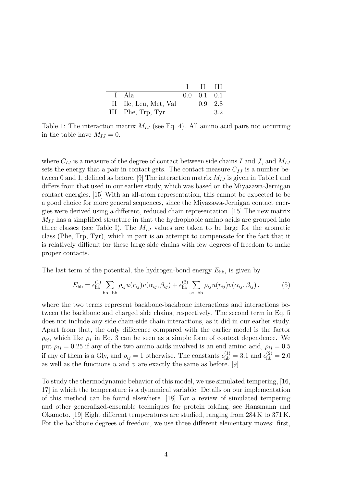|                       | $\mathbf{I}$ $\mathbf{II}$ $\mathbf{III}$ |     |
|-----------------------|-------------------------------------------|-----|
| I Ala                 | $0.0 \quad 0.1 \quad 0.1$                 |     |
| II Ile, Leu, Met, Val | $0.9 \quad 2.8$                           |     |
| III Phe, Trp, Tyr     |                                           | 3.2 |

Table 1: The interaction matrix  $M_{IJ}$  (see Eq. 4). All amino acid pairs not occurring in the table have  $M_{IJ} = 0$ .

where  $C_{IJ}$  is a measure of the degree of contact between side chains I and J, and  $M_{IJ}$ sets the energy that a pair in contact gets. The contact measure  $C_{IJ}$  is a number between 0 and 1, defined as before. [9] The interaction matrix  $M_{IJ}$  is given in Table I and differs from that used in our earlier study, which was based on the Miyazawa-Jernigan contact energies. [15] With an all-atom representation, this cannot be expected to be a good choice for more general sequences, since the Miyazawa-Jernigan contact energies were derived using a different, reduced chain representation. [15] The new matrix  $M_{IJ}$  has a simplified structure in that the hydrophobic amino acids are grouped into three classes (see Table I). The  $M_{IJ}$  values are taken to be large for the aromatic class (Phe, Trp, Tyr), which in part is an attempt to compensate for the fact that it is relatively difficult for these large side chains with few degrees of freedom to make proper contacts.

The last term of the potential, the hydrogen-bond energy  $E_{\text{hb}}$ , is given by

$$
E_{\text{hb}} = \epsilon_{\text{hb}}^{(1)} \sum_{\text{bb-bb}} \rho_{ij} u(r_{ij}) v(\alpha_{ij}, \beta_{ij}) + \epsilon_{\text{hb}}^{(2)} \sum_{\text{sc-bb}} \rho_{ij} u(r_{ij}) v(\alpha_{ij}, \beta_{ij}), \tag{5}
$$

where the two terms represent backbone-backbone interactions and interactions between the backbone and charged side chains, respectively. The second term in Eq. 5 does not include any side chain-side chain interactions, as it did in our earlier study. Apart from that, the only difference compared with the earlier model is the factor  $\rho_{ii}$ , which like  $\rho_I$  in Eq. 3 can be seen as a simple form of context dependence. We put  $\rho_{ij} = 0.25$  if any of the two amino acids involved is an end amino acid,  $\rho_{ij} = 0.5$ if any of them is a Gly, and  $\rho_{ij} = 1$  otherwise. The constants  $\epsilon_{hb}^{(1)} = 3.1$  and  $\epsilon_{hb}^{(2)} = 2.0$ as well as the functions  $u$  and  $v$  are exactly the same as before. [9]

To study the thermodynamic behavior of this model, we use simulated tempering, [16, 17] in which the temperature is a dynamical variable. Details on our implementation of this method can be found elsewhere. [18] For a review of simulated tempering and other generalized-ensemble techniques for protein folding, see Hansmann and Okamoto. [19] Eight different temperatures are studied, ranging from 284 K to 371 K. For the backbone degrees of freedom, we use three different elementary moves: first,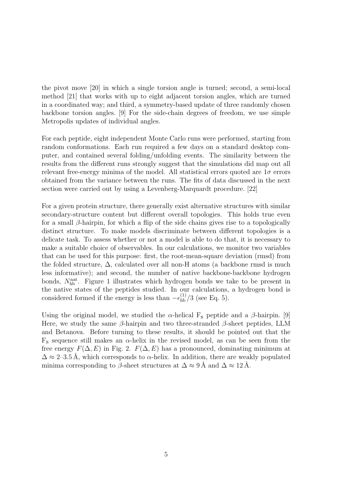the pivot move [20] in which a single torsion angle is turned; second, a semi-local method [21] that works with up to eight adjacent torsion angles, which are turned in a coordinated way; and third, a symmetry-based update of three randomly chosen backbone torsion angles. [9] For the side-chain degrees of freedom, we use simple Metropolis updates of individual angles.

For each peptide, eight independent Monte Carlo runs were performed, starting from random conformations. Each run required a few days on a standard desktop computer, and contained several folding/unfolding events. The similarity between the results from the different runs strongly suggest that the simulations did map out all relevant free-energy minima of the model. All statistical errors quoted are  $1\sigma$  errors obtained from the variance between the runs. The fits of data discussed in the next section were carried out by using a Levenberg-Marquardt procedure. [22]

For a given protein structure, there generally exist alternative structures with similar secondary-structure content but different overall topologies. This holds true even for a small  $\beta$ -hairpin, for which a flip of the side chains gives rise to a topologically distinct structure. To make models discriminate between different topologies is a delicate task. To assess whether or not a model is able to do that, it is necessary to make a suitable choice of observables. In our calculations, we monitor two variables that can be used for this purpose: first, the root-mean-square deviation (rmsd) from the folded structure,  $\Delta$ , calculated over all non-H atoms (a backbone rmsd is much less informative); and second, the number of native backbone-backbone hydrogen bonds,  $N_{\rm hb}^{\rm nat}$ . Figure 1 illustrates which hydrogen bonds we take to be present in the native states of the peptides studied. In our calculations, a hydrogen bond is considered formed if the energy is less than  $-\epsilon_{hb}^{(1)}/3$  (see Eq. 5).

Using the original model, we studied the  $\alpha$ -helical F<sub>s</sub> peptide and a  $\beta$ -hairpin. [9] Here, we study the same  $\beta$ -hairpin and two three-stranded  $\beta$ -sheet peptides, LLM and Betanova. Before turning to these results, it should be pointed out that the  $F_s$  sequence still makes an  $\alpha$ -helix in the revised model, as can be seen from the free energy  $F(\Delta, E)$  in Fig. 2.  $F(\Delta, E)$  has a pronounced, dominating minimum at  $\Delta \approx 2-3.5$  Å, which corresponds to  $\alpha$ -helix. In addition, there are weakly populated minima corresponding to  $\beta$ -sheet structures at  $\Delta \approx 9 \text{ Å}$  and  $\Delta \approx 12 \text{ Å}$ .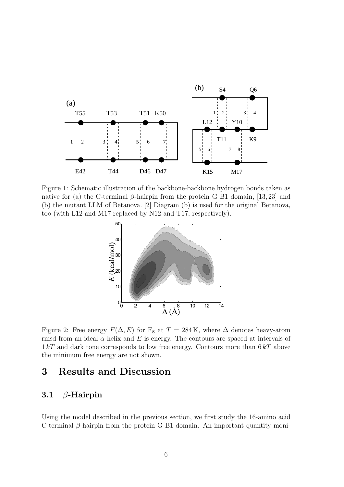

Figure 1: Schematic illustration of the backbone-backbone hydrogen bonds taken as native for (a) the C-terminal β-hairpin from the protein G B1 domain, [13, 23] and (b) the mutant LLM of Betanova. [2] Diagram (b) is used for the original Betanova, too (with L12 and M17 replaced by N12 and T17, respectively).



Figure 2: Free energy  $F(\Delta, E)$  for F<sub>s</sub> at  $T = 284$  K, where  $\Delta$  denotes heavy-atom rmsd from an ideal  $\alpha$ -helix and E is energy. The contours are spaced at intervals of  $1 kT$  and dark tone corresponds to low free energy. Contours more than  $6 kT$  above the minimum free energy are not shown.

## 3 Results and Discussion

#### 3.1  $\beta$ -Hairpin

Using the model described in the previous section, we first study the 16-amino acid C-terminal  $\beta$ -hairpin from the protein G B1 domain. An important quantity moni-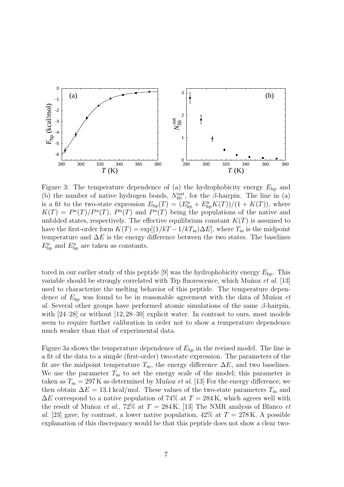

Figure 3: The temperature dependence of (a) the hydrophobicity energy  $E_{\text{hp}}$  and (b) the number of native hydrogen bonds,  $N_{\text{hb}}^{\text{nat}}$ , for the  $\beta$ -hairpin. The line in (a) is a fit to the two-state expression  $E_{\text{hp}}(T) = (E_{\text{hp}}^{\text{u}} + E_{\text{hp}}^{\text{n}} K(T))/(1 + K(T)),$  where  $K(T) = P^{n}(T)/P^{n}(T)$ ,  $P^{n}(T)$  and  $P^{n}(T)$  being the populations of the native and unfolded states, respectively. The effective equilibrium constant  $K(T)$  is assumed to have the first-order form  $K(T) = \exp[(1/kT - 1/kT_m)\Delta E]$ , where  $T_m$  is the midpoint temperature and  $\Delta E$  is the energy difference between the two states. The baselines  $E_{\rm hp}^{\rm n}$  and  $E_{\rm hp}^{\rm u}$  are taken as constants.

tored in our earlier study of this peptide [9] was the hydrophobicity energy  $E_{hp}$ . This variable should be strongly correlated with Trp fluorescence, which Muñoz et al. [13] used to characterize the melting behavior of this peptide. The temperature dependence of  $E_{\text{ho}}$  was found to be in reasonable agreement with the data of Munoz et al. Several other groups have performed atomic simulations of the same  $\beta$ -hairpin, with  $[24-28]$  or without  $[12, 28-30]$  explicit water. In contrast to ours, most models seem to require further calibration in order not to show a temperature dependence much weaker than that of experimental data.

Figure 3a shows the temperature dependence of  $E_{\text{hp}}$  in the revised model. The line is a fit of the data to a simple (first-order) two-state expression. The parameters of the fit are the midpoint temperature  $T_m$ , the energy difference  $\Delta E$ , and two baselines. We use the parameter  $T<sub>m</sub>$  to set the energy scale of the model; this parameter is taken as  $T_m = 297$ K as determined by Muñoz *et al.* [13] For the energy difference, we then obtain  $\Delta E = 13.1 \text{ kcal/mol}$ . These values of the two-state parameters  $T_{\text{m}}$  and  $\Delta E$  correspond to a native population of 74% at  $T = 284$  K, which agrees well with the result of Muñoz *et al.*, 72% at  $T = 284$  K. [13] The NMR analysis of Blanco *et* al. [23] gave, by contrast, a lower native population,  $42\%$  at  $T = 278$  K. A possible explanation of this discrepancy would be that this peptide does not show a clear two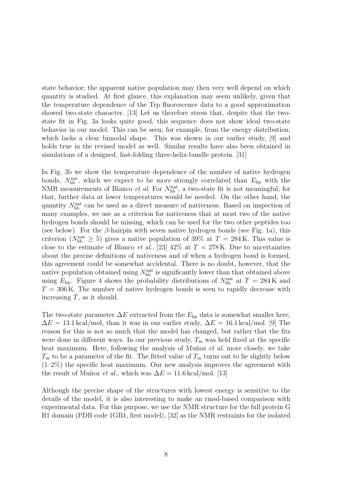state behavior; the apparent native population may then very well depend on which quantity is studied. At first glance, this explanation may seem unlikely, given that the temperature dependence of the Trp fluorescence data to a good approximation showed two-state character. [13] Let us therefore stress that, despite that the twostate fit in Fig. 3a looks quite good, this sequence does not show ideal two-state behavior in our model. This can be seen, for example, from the energy distribution, which lacks a clear bimodal shape. This was shown in our earlier study, [9] and holds true in the revised model as well. Similar results have also been obtained in simulations of a designed, fast-folding three-helix-bundle protein. [31]

In Fig. 3b we show the temperature dependence of the number of native hydrogen bonds,  $N_{\rm hb}^{\rm nat}$ , which we expect to be more strongly correlated than  $E_{\rm hp}$  with the NMR measurements of Blanco *et al.* For  $N_{\rm hb}^{\rm nat}$ , a two-state fit is not meaningful; for that, further data at lower temperatures would be needed. On the other hand, the quantity  $N_{\text{hb}}^{\text{nat}}$  can be used as a direct measure of nativeness. Based on inspection of many examples, we use as a criterion for nativeness that at most two of the native hydrogen bonds should be missing, which can be used for the two other peptides too (see below). For the  $\beta$ -hairpin with seven native hydrogen bonds (see Fig. 1a), this criterion ( $N_{\text{hb}}^{\text{nat}} \geq 5$ ) gives a native population of 39% at  $T = 284 \text{ K}$ . This value is close to the estimate of Blanco *et al.*, [23] 42\% at  $T = 278$  K. Due to uncertainties about the precise definitions of nativeness and of when a hydrogen bond is formed, this agreement could be somewhat accidental. There is no doubt, however, that the native population obtained using  $N_{\rm hb}^{\rm nat}$  is significantly lower than that obtained above using  $E_{\text{hp}}$ . Figure 4 shows the probability distributions of  $N_{\text{hb}}^{\text{nat}}$  at  $T = 284 \text{ K}$  and  $T = 306$  K. The number of native hydrogen bonds is seen to rapidly decrease with increasing  $T$ , as it should.

The two-state parameter  $\Delta E$  extracted from the  $E_{hp}$  data is somewhat smaller here,  $\Delta E = 13.1 \text{ kcal/mol}$ , than it was in our earlier study,  $\Delta E = 16.1 \text{ kcal/mol}$ . [9] The reason for this is not so much that the model has changed, but rather that the fits were done in different ways. In our previous study,  $T<sub>m</sub>$  was held fixed at the specific heat maximum. Here, following the analysis of Muñoz et al. more closely, we take  $T<sub>m</sub>$  to be a parameter of the fit. The fitted value of  $T<sub>m</sub>$  turns out to lie slightly below  $(1-2\%)$  the specific heat maximum. Our new analysis improves the agreement with the result of Muñoz *et al.*, which was  $\Delta E = 11.6 \text{ kcal/mol}$ . [13]

Although the precise shape of the structures with lowest energy is sensitive to the details of the model, it is also interesting to make an rmsd-based comparison with experimental data. For this purpose, we use the NMR structure for the full protein G B1 domain (PDB code 1GB1, first model), [32] as the NMR restraints for the isolated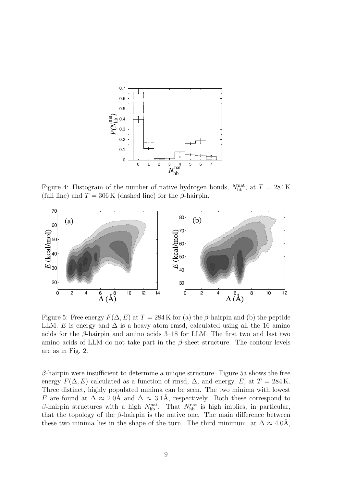

Figure 4: Histogram of the number of native hydrogen bonds,  $N_{\rm hb}^{\rm nat}$ , at  $T = 284 \,\rm K$ (full line) and  $T = 306 \text{ K}$  (dashed line) for the  $\beta$ -hairpin.



Figure 5: Free energy  $F(\Delta, E)$  at  $T = 284$  K for (a) the  $\beta$ -hairpin and (b) the peptide LLM. E is energy and  $\Delta$  is a heavy-atom rmsd, calculated using all the 16 amino acids for the  $\beta$ -hairpin and amino acids 3–18 for LLM. The first two and last two amino acids of LLM do not take part in the  $\beta$ -sheet structure. The contour levels are as in Fig. 2.

 $\beta$ -hairpin were insufficient to determine a unique structure. Figure 5a shows the free energy  $F(\Delta, E)$  calculated as a function of rmsd,  $\Delta$ , and energy, E, at  $T = 284$  K. Three distinct, highly populated minima can be seen. The two minima with lowest E are found at  $\Delta \approx 2.0\text{\AA}$  and  $\Delta \approx 3.1\text{\AA}$ , respectively. Both these correspond to  $\beta$ -hairpin structures with a high  $N_{\rm hb}^{\rm nat}$ . That  $N_{\rm hb}^{\rm nat}$  is high implies, in particular, that the topology of the  $\beta$ -hairpin is the native one. The main difference between these two minima lies in the shape of the turn. The third minimum, at  $\Delta \approx 4.0\text{\AA}$ ,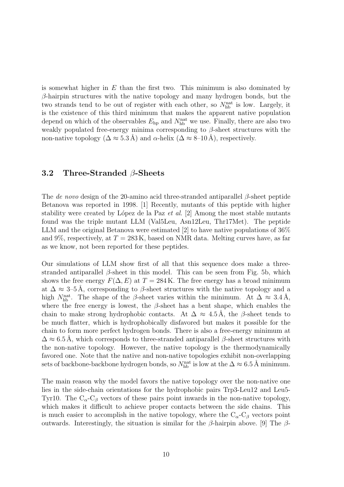is somewhat higher in  $E$  than the first two. This minimum is also dominated by  $\beta$ -hairpin structures with the native topology and many hydrogen bonds, but the two strands tend to be out of register with each other, so  $N_{\text{hb}}^{\text{nat}}$  is low. Largely, it is the existence of this third minimum that makes the apparent native population depend on which of the observables  $E_{\rm hp}$  and  $N_{\rm hb}^{\rm nat}$  we use. Finally, there are also two weakly populated free-energy minima corresponding to  $\beta$ -sheet structures with the non-native topology ( $\Delta \approx 5.3 \text{ Å}$ ) and  $\alpha$ -helix ( $\Delta \approx 8{\text -}10 \text{ Å}$ ), respectively.

#### 3.2 Three-Stranded β-Sheets

The de novo design of the 20-amino acid three-stranded antiparallel  $\beta$ -sheet peptide Betanova was reported in 1998. [1] Recently, mutants of this peptide with higher stability were created by López de la Paz et al.  $[2]$  Among the most stable mutants found was the triple mutant LLM (Val5Leu, Asn12Leu, Thr17Met). The peptide LLM and the original Betanova were estimated [2] to have native populations of 36% and 9%, respectively, at  $T = 283 \text{ K}$ , based on NMR data. Melting curves have, as far as we know, not been reported for these peptides.

Our simulations of LLM show first of all that this sequence does make a threestranded antiparallel  $\beta$ -sheet in this model. This can be seen from Fig. 5b, which shows the free energy  $F(\Delta, E)$  at  $T = 284$  K. The free energy has a broad minimum at  $\Delta \approx 3$ –5Å, corresponding to  $\beta$ -sheet structures with the native topology and a high  $N_{\rm hb}^{\rm nat}$ . The shape of the  $\beta$ -sheet varies within the minimum. At  $\Delta \approx 3.4 \,\rm \AA$ , where the free energy is lowest, the  $\beta$ -sheet has a bent shape, which enables the chain to make strong hydrophobic contacts. At  $\Delta \approx 4.5$  Å, the  $\beta$ -sheet tends to be much flatter, which is hydrophobically disfavored but makes it possible for the chain to form more perfect hydrogen bonds. There is also a free-energy minimum at  $\Delta \approx 6.5$ Å, which corresponds to three-stranded antiparallel  $\beta$ -sheet structures with the non-native topology. However, the native topology is the thermodynamically favored one. Note that the native and non-native topologies exhibit non-overlapping sets of backbone-backbone hydrogen bonds, so  $N_{\rm hb}^{\rm nat}$  is low at the  $\Delta \approx 6.5$  Å minimum.

The main reason why the model favors the native topology over the non-native one lies in the side-chain orientations for the hydrophobic pairs Trp3-Leu12 and Leu5- Tyr10. The  $C_{\alpha}$ - $C_{\beta}$  vectors of these pairs point inwards in the non-native topology, which makes it difficult to achieve proper contacts between the side chains. This is much easier to accomplish in the native topology, where the  $C_{\alpha}$ -C<sub>β</sub> vectors point outwards. Interestingly, the situation is similar for the  $\beta$ -hairpin above. [9] The  $\beta$ -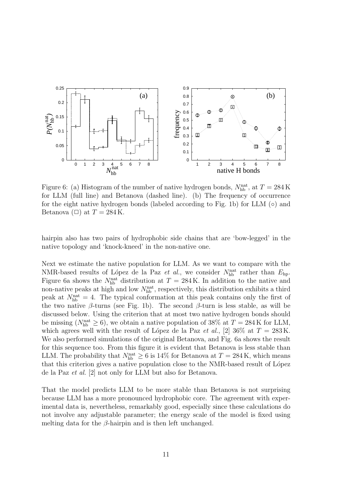

Figure 6: (a) Histogram of the number of native hydrogen bonds,  $N_{\rm hb}^{\rm nat}$ , at  $T = 284\,\rm K$ for LLM (full line) and Betanova (dashed line). (b) The frequency of occurrence for the eight native hydrogen bonds (labeled according to Fig. 1b) for LLM  $\circ$ ) and Betanova ( $\Box$ ) at  $T = 284$  K.

hairpin also has two pairs of hydrophobic side chains that are 'bow-legged' in the native topology and 'knock-kneed' in the non-native one.

Next we estimate the native population for LLM. As we want to compare with the NMR-based results of López de la Paz *et al.*, we consider  $N_{\text{hb}}^{\text{nat}}$  rather than  $E_{\text{hp}}$ . Figure 6a shows the  $N_{\text{hb}}^{\text{nat}}$  distribution at  $T = 284 \text{ K}$ . In addition to the native and non-native peaks at high and low  $N_{\rm hb}^{\rm nat}$ , respectively, this distribution exhibits a third peak at  $N_{\text{hb}}^{\text{nat}} = 4$ . The typical conformation at this peak contains only the first of the two native  $\beta$ -turns (see Fig. 1b). The second  $\beta$ -turn is less stable, as will be discussed below. Using the criterion that at most two native hydrogen bonds should be missing ( $N_{\text{hb}}^{\text{nat}} \ge 6$ ), we obtain a native population of 38% at  $T = 284 \text{ K}$  for LLM, which agrees well with the result of López de la Paz et al., [2] 36\% at  $T = 283 \text{ K}$ . We also performed simulations of the original Betanova, and Fig. 6a shows the result for this sequence too. From this figure it is evident that Betanova is less stable than LLM. The probability that  $N_{\text{hb}}^{\text{nat}} \ge 6$  is 14% for Betanova at  $T = 284$  K, which means that this criterion gives a native population close to the NMR-based result of López de la Paz et al. [2] not only for LLM but also for Betanova.

That the model predicts LLM to be more stable than Betanova is not surprising because LLM has a more pronounced hydrophobic core. The agreement with experimental data is, nevertheless, remarkably good, especially since these calculations do not involve any adjustable parameter; the energy scale of the model is fixed using melting data for the  $\beta$ -hairpin and is then left unchanged.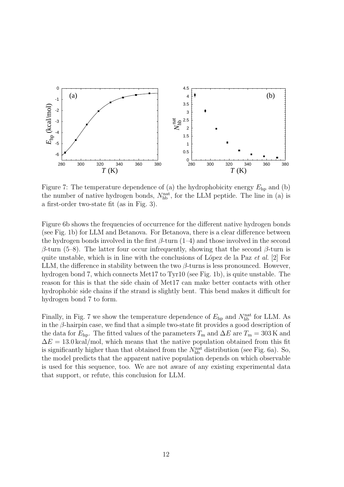

Figure 7: The temperature dependence of (a) the hydrophobicity energy  $E_{\text{hp}}$  and (b) the number of native hydrogen bonds,  $N_{\rm hb}^{\rm nat}$ , for the LLM peptide. The line in (a) is a first-order two-state fit (as in Fig. 3).

Figure 6b shows the frequencies of occurrence for the different native hydrogen bonds (see Fig. 1b) for LLM and Betanova. For Betanova, there is a clear difference between the hydrogen bonds involved in the first  $\beta$ -turn (1–4) and those involved in the second β-turn (5–8). The latter four occur infrequently, showing that the second β-turn is quite unstable, which is in line with the conclusions of López de la Paz et al. [2] For LLM, the difference in stability between the two  $\beta$ -turns is less pronounced. However, hydrogen bond 7, which connects Met17 to Tyr10 (see Fig. 1b), is quite unstable. The reason for this is that the side chain of Met17 can make better contacts with other hydrophobic side chains if the strand is slightly bent. This bend makes it difficult for hydrogen bond 7 to form.

Finally, in Fig. 7 we show the temperature dependence of  $E_{\rm hp}$  and  $N_{\rm hb}^{\rm nat}$  for LLM. As in the  $\beta$ -hairpin case, we find that a simple two-state fit provides a good description of the data for  $E_{\text{hp}}$ . The fitted values of the parameters  $T_{\text{m}}$  and  $\Delta E$  are  $T_{\text{m}} = 303 \,\text{K}$  and  $\Delta E = 13.0 \,\text{kcal/mol}$ , which means that the native population obtained from this fit is significantly higher than that obtained from the  $N_{\rm hb}^{\rm nat}$  distribution (see Fig. 6a). So, the model predicts that the apparent native population depends on which observable is used for this sequence, too. We are not aware of any existing experimental data that support, or refute, this conclusion for LLM.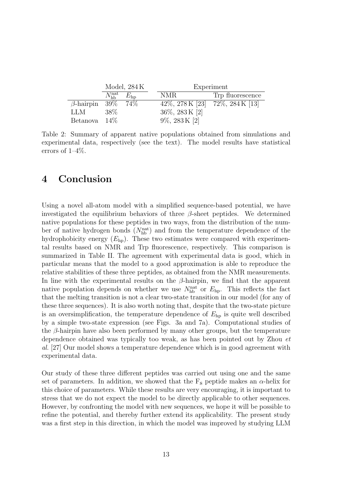|                          | Model, $284K$          |               |                          | Experiment                  |                                   |  |
|--------------------------|------------------------|---------------|--------------------------|-----------------------------|-----------------------------------|--|
|                          | $N_{\rm bb}^{\rm nat}$ | $E_{\rm{ho}}$ | NMR.                     |                             | Trp fluorescence                  |  |
| $\beta$ -hairpin 39% 74% |                        |               |                          |                             | 42\%, 278 K [23] 72\%, 284 K [13] |  |
| LLM                      | 38\%                   |               |                          | $36\%, 283\,\mathrm{K}$ [2] |                                   |  |
| Betanova $14\%$          |                        |               | $9\%, 283 \text{ K}$ [2] |                             |                                   |  |

Table 2: Summary of apparent native populations obtained from simulations and experimental data, respectively (see the text). The model results have statistical errors of 1–4%.

### 4 Conclusion

Using a novel all-atom model with a simplified sequence-based potential, we have investigated the equilibrium behaviors of three  $\beta$ -sheet peptides. We determined native populations for these peptides in two ways, from the distribution of the number of native hydrogen bonds  $(N_{\rm hb}^{\rm nat})$  and from the temperature dependence of the hydrophobicity energy  $(E<sub>h</sub>)$ . These two estimates were compared with experimental results based on NMR and Trp fluorescence, respectively. This comparison is summarized in Table II. The agreement with experimental data is good, which in particular means that the model to a good approximation is able to reproduce the relative stabilities of these three peptides, as obtained from the NMR measurements. In line with the experimental results on the  $\beta$ -hairpin, we find that the apparent native population depends on whether we use  $N_{\text{hb}}^{\text{nat}}$  or  $E_{\text{hp}}$ . This reflects the fact that the melting transition is not a clear two-state transition in our model (for any of these three sequences). It is also worth noting that, despite that the two-state picture is an oversimplification, the temperature dependence of  $E_{\text{hp}}$  is quite well described by a simple two-state expression (see Figs. 3a and 7a). Computational studies of the  $\beta$ -hairpin have also been performed by many other groups, but the temperature dependence obtained was typically too weak, as has been pointed out by Zhou et al. [27] Our model shows a temperature dependence which is in good agreement with experimental data.

Our study of these three different peptides was carried out using one and the same set of parameters. In addition, we showed that the  $F_s$  peptide makes an  $\alpha$ -helix for this choice of parameters. While these results are very encouraging, it is important to stress that we do not expect the model to be directly applicable to other sequences. However, by confronting the model with new sequences, we hope it will be possible to refine the potential, and thereby further extend its applicability. The present study was a first step in this direction, in which the model was improved by studying LLM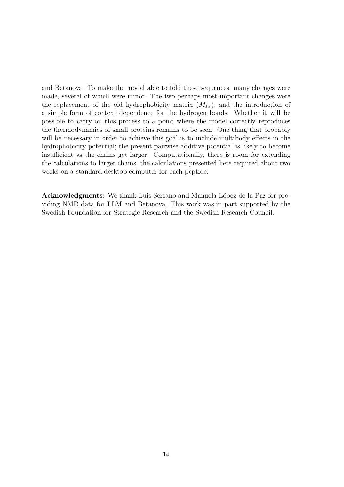and Betanova. To make the model able to fold these sequences, many changes were made, several of which were minor. The two perhaps most important changes were the replacement of the old hydrophobicity matrix  $(M_{IJ})$ , and the introduction of a simple form of context dependence for the hydrogen bonds. Whether it will be possible to carry on this process to a point where the model correctly reproduces the thermodynamics of small proteins remains to be seen. One thing that probably will be necessary in order to achieve this goal is to include multibody effects in the hydrophobicity potential; the present pairwise additive potential is likely to become insufficient as the chains get larger. Computationally, there is room for extending the calculations to larger chains; the calculations presented here required about two weeks on a standard desktop computer for each peptide.

Acknowledgments: We thank Luis Serrano and Manuela López de la Paz for providing NMR data for LLM and Betanova. This work was in part supported by the Swedish Foundation for Strategic Research and the Swedish Research Council.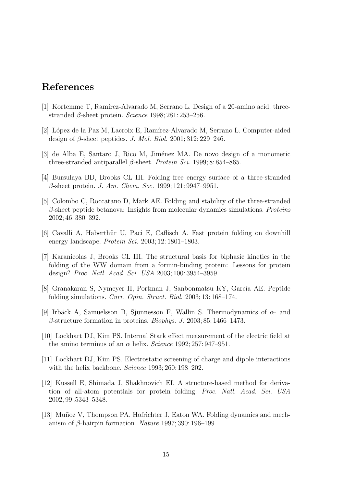## References

- [1] Kortemme T, Ramírez-Alvarado M, Serrano L. Design of a 20-amino acid, threestranded  $\beta$ -sheet protein. *Science* 1998; 281: 253–256.
- [2] L´opez de la Paz M, Lacroix E, Ram´ırez-Alvarado M, Serrano L. Computer-aided design of  $\beta$ -sheet peptides. J. Mol. Biol. 2001; 312: 229–246.
- [3] de Alba E, Santaro J, Rico M, Jiménez MA. De novo design of a monomeric three-stranded antiparallel  $\beta$ -sheet. Protein Sci. 1999; 8: 854–865.
- [4] Bursulaya BD, Brooks CL III. Folding free energy surface of a three-stranded β-sheet protein. J. Am. Chem. Soc. 1999; 121: 9947–9951.
- [5] Colombo C, Roccatano D, Mark AE. Folding and stability of the three-stranded  $\beta$ -sheet peptide betanova: Insights from molecular dynamics simulations. Proteins 2002; 46: 380–392.
- [6] Cavalli A, Haberthür U, Paci E, Caflisch A. Fast protein folding on downhill energy landscape. Protein Sci. 2003; 12: 1801–1803.
- [7] Karanicolas J, Brooks CL III. The structural basis for biphasic kinetics in the folding of the WW domain from a formin-binding protein: Lessons for protein design? Proc. Natl. Acad. Sci. USA 2003; 100: 3954–3959.
- [8] Granakaran S, Nymeyer H, Portman J, Sanbonmatsu KY, García AE. Peptide folding simulations. Curr. Opin. Struct. Biol. 2003; 13: 168–174.
- [9] Irbäck A, Samuelsson B, Sjunnesson F, Wallin S. Thermodynamics of  $\alpha$  and  $\beta$ -structure formation in proteins. *Biophys. J.* 2003; 85: 1466–1473.
- [10] Lockhart DJ, Kim PS. Internal Stark effect measurement of the electric field at the amino terminus of an  $\alpha$  helix. Science 1992; 257: 947-951.
- [11] Lockhart DJ, Kim PS. Electrostatic screening of charge and dipole interactions with the helix backbone. Science 1993; 260: 198-202.
- [12] Kussell E, Shimada J, Shakhnovich EI. A structure-based method for derivation of all-atom potentials for protein folding. Proc. Natl. Acad. Sci. USA 2002; 99 :5343–5348.
- [13] Muñoz V, Thompson PA, Hofrichter J, Eaton WA. Folding dynamics and mechanism of  $\beta$ -hairpin formation. *Nature* 1997; 390: 196–199.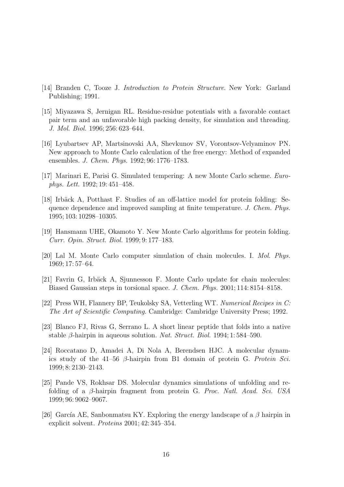- [14] Branden C, Tooze J. Introduction to Protein Structure. New York: Garland Publishing; 1991.
- [15] Miyazawa S, Jernigan RL. Residue-residue potentials with a favorable contact pair term and an unfavorable high packing density, for simulation and threading. J. Mol. Biol. 1996; 256: 623–644.
- [16] Lyubartsev AP, Martsinovski AA, Shevkunov SV, Vorontsov-Velyaminov PN. New approach to Monte Carlo calculation of the free energy: Method of expanded ensembles. J. Chem. Phys. 1992; 96: 1776–1783.
- [17] Marinari E, Parisi G. Simulated tempering: A new Monte Carlo scheme. Europhys. Lett. 1992; 19: 451–458.
- [18] Irbäck A, Potthast F. Studies of an off-lattice model for protein folding: Sequence dependence and improved sampling at finite temperature. J. Chem. Phys. 1995; 103: 10298–10305.
- [19] Hansmann UHE, Okamoto Y. New Monte Carlo algorithms for protein folding. Curr. Opin. Struct. Biol. 1999; 9: 177–183.
- [20] Lal M. Monte Carlo computer simulation of chain molecules. I. Mol. Phys. 1969; 17: 57–64.
- [21] Favrin G, Irbäck A, Sjunnesson F. Monte Carlo update for chain molecules: Biased Gaussian steps in torsional space. J. Chem. Phys. 2001; 114: 8154–8158.
- [22] Press WH, Flannery BP, Teukolsky SA, Vetterling WT. Numerical Recipes in C: The Art of Scientific Computing. Cambridge: Cambridge University Press; 1992.
- [23] Blanco FJ, Rivas G, Serrano L. A short linear peptide that folds into a native stable  $\beta$ -hairpin in aqueous solution. Nat. Struct. Biol. 1994; 1:584–590.
- [24] Roccatano D, Amadei A, Di Nola A, Berendsen HJC. A molecular dynamics study of the 41–56  $\beta$ -hairpin from B1 domain of protein G. Protein Sci. 1999; 8: 2130–2143.
- [25] Pande VS, Rokhsar DS. Molecular dynamics simulations of unfolding and refolding of a β-hairpin fragment from protein G. Proc. Natl. Acad. Sci. USA 1999; 96: 9062–9067.
- [26] García AE, Sanbonmatsu KY. Exploring the energy landscape of a  $\beta$  hairpin in explicit solvent. Proteins 2001; 42: 345–354.